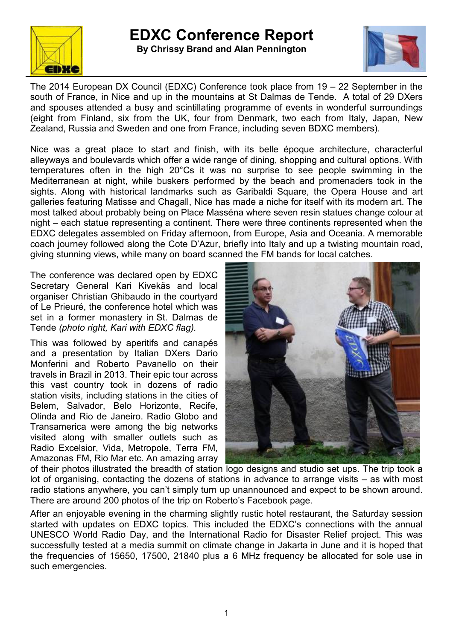



The 2014 European DX Council (EDXC) Conference took place from 19 – 22 September in the south of France, in Nice and up in the mountains at St Dalmas de Tende. A total of 29 DXers and spouses attended a busy and scintillating programme of events in wonderful surroundings (eight from Finland, six from the UK, four from Denmark, two each from Italy, Japan, New Zealand, Russia and Sweden and one from France, including seven BDXC members).

Nice was a great place to start and finish, with its belle époque architecture, characterful alleyways and boulevards which offer a wide range of dining, shopping and cultural options. With temperatures often in the high 20°Cs it was no surprise to see people swimming in the Mediterranean at night, while buskers performed by the beach and promenaders took in the sights. Along with historical landmarks such as Garibaldi Square, the Opera House and art galleries featuring Matisse and Chagall, Nice has made a niche for itself with its modern art. The most talked about probably being on Place Masséna where seven resin statues change colour at night – each statue representing a continent. There were three continents represented when the EDXC delegates assembled on Friday afternoon, from Europe, Asia and Oceania. A memorable coach journey followed along the Cote D'Azur, briefly into Italy and up a twisting mountain road, giving stunning views, while many on board scanned the FM bands for local catches.

The conference was declared open by EDXC Secretary General Kari Kivekäs and local organiser Christian Ghibaudo in the courtyard of Le Prieuré, the conference hotel which was set in a former monastery in St. Dalmas de Tende *(photo right, Kari with EDXC flag).*

This was followed by aperitifs and canapés and a presentation by Italian DXers Dario Monferini and Roberto Pavanello on their travels in Brazil in 2013. Their epic tour across this vast country took in dozens of radio station visits, including stations in the cities of Belem, Salvador, Belo Horizonte, Recife, Olinda and Rio de Janeiro. Radio Globo and Transamerica were among the big networks visited along with smaller outlets such as Radio Excelsior, Vida, Metropole, Terra FM, Amazonas FM, Rio Mar etc. An amazing array



of their photos illustrated the breadth of station logo designs and studio set ups. The trip took a lot of organising, contacting the dozens of stations in advance to arrange visits – as with most radio stations anywhere, you can't simply turn up unannounced and expect to be shown around. There are around 200 photos of the trip on Roberto's Facebook page.

After an enjoyable evening in the charming slightly rustic hotel restaurant, the Saturday session started with updates on EDXC topics. This included the EDXC's connections with the annual UNESCO World Radio Day, and the International Radio for Disaster Relief project. This was successfully tested at a media summit on climate change in Jakarta in June and it is hoped that the frequencies of 15650, 17500, 21840 plus a 6 MHz frequency be allocated for sole use in such emergencies.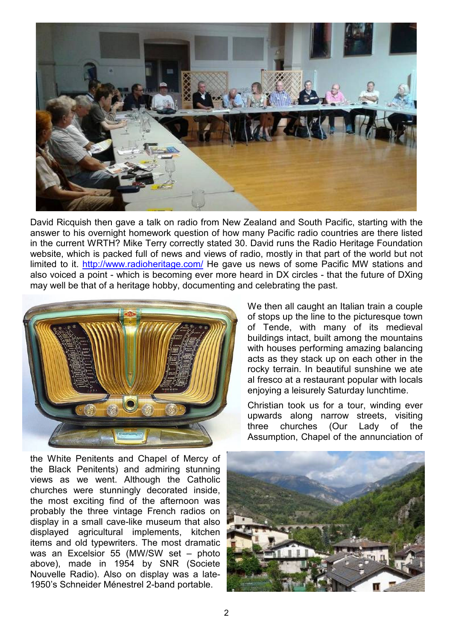

David Ricquish then gave a talk on radio from New Zealand and South Pacific, starting with the answer to his overnight homework question of how many Pacific radio countries are there listed in the current WRTH? Mike Terry correctly stated 30. David runs the Radio Heritage Foundation website, which is packed full of news and views of radio, mostly in that part of the world but not limited to it. http://www.radioheritage.com/ He gave us news of some Pacific MW stations and also voiced a point - which is becoming ever more heard in DX circles - that the future of DXing may well be that of a heritage hobby, documenting and celebrating the past.



the White Penitents and Chapel of Mercy of the Black Penitents) and admiring stunning views as we went. Although the Catholic churches were stunningly decorated inside, the most exciting find of the afternoon was probably the three vintage French radios on display in a small cave-like museum that also displayed agricultural implements, kitchen items and old typewriters. The most dramatic was an Excelsior 55 (MW/SW set – photo above), made in 1954 by SNR (Societe Nouvelle Radio). Also on display was a late-1950's Schneider Ménestrel 2-band portable.

We then all caught an Italian train a couple of stops up the line to the picturesque town of Tende, with many of its medieval buildings intact, built among the mountains with houses performing amazing balancing acts as they stack up on each other in the rocky terrain. In beautiful sunshine we ate al fresco at a restaurant popular with locals enjoying a leisurely Saturday lunchtime.

Christian took us for a tour, winding ever upwards along narrow streets, visiting three churches (Our Lady of the Assumption, Chapel of the annunciation of

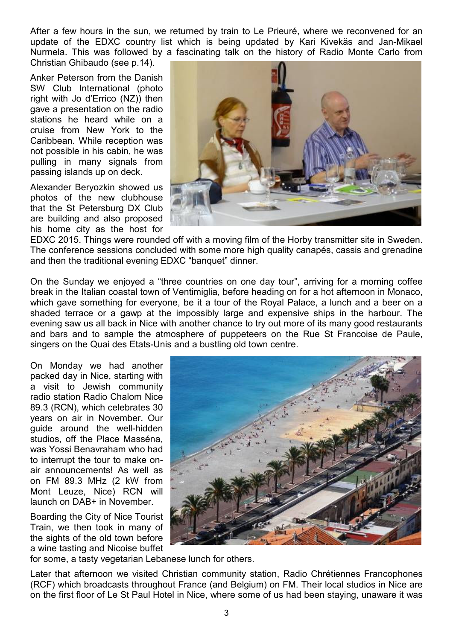After a few hours in the sun, we returned by train to Le Prieuré, where we reconvened for an update of the EDXC country list which is being updated by Kari Kivekäs and Jan-Mikael Nurmela. This was followed by a fascinating talk on the history of Radio Monte Carlo from Christian Ghibaudo (see p.14).

Anker Peterson from the Danish SW Club International (photo right with Jo d'Errico (NZ)) then gave a presentation on the radio stations he heard while on a cruise from New York to the Caribbean. While reception was not possible in his cabin, he was pulling in many signals from passing islands up on deck.

Alexander Beryozkin showed us photos of the new clubhouse that the St Petersburg DX Club are building and also proposed his home city as the host for



EDXC 2015. Things were rounded off with a moving film of the Horby transmitter site in Sweden. The conference sessions concluded with some more high quality canapés, cassis and grenadine and then the traditional evening EDXC "banquet" dinner.

On the Sunday we enjoyed a "three countries on one day tour", arriving for a morning coffee break in the Italian coastal town of Ventimiglia, before heading on for a hot afternoon in Monaco, which gave something for everyone, be it a tour of the Royal Palace, a lunch and a beer on a shaded terrace or a gawp at the impossibly large and expensive ships in the harbour. The evening saw us all back in Nice with another chance to try out more of its many good restaurants and bars and to sample the atmosphere of puppeteers on the Rue St Francoise de Paule, singers on the Quai des Etats-Unis and a bustling old town centre.

On Monday we had another packed day in Nice, starting with a visit to Jewish community radio station Radio Chalom Nice 89.3 (RCN), which celebrates 30 years on air in November. Our guide around the well-hidden studios, off the Place Masséna, was Yossi Benavraham who had to interrupt the tour to make onair announcements! As well as on FM 89.3 MHz (2 kW from Mont Leuze, Nice) RCN will launch on DAB+ in November.

Boarding the City of Nice Tourist Train, we then took in many of the sights of the old town before a wine tasting and Nicoise buffet



for some, a tasty vegetarian Lebanese lunch for others.

Later that afternoon we visited Christian community station, Radio Chrétiennes Francophones (RCF) which broadcasts throughout France (and Belgium) on FM. Their local studios in Nice are on the first floor of Le St Paul Hotel in Nice, where some of us had been staying, unaware it was